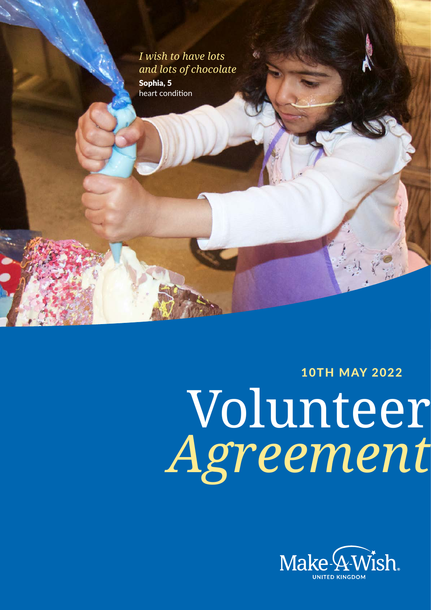# *I wish to have lots and lots of chocolate*

Sophia, 5 heart condition

10TH MAY 2022

**Volunteer** 

**Agreement**

# Volunteer *Agreement*

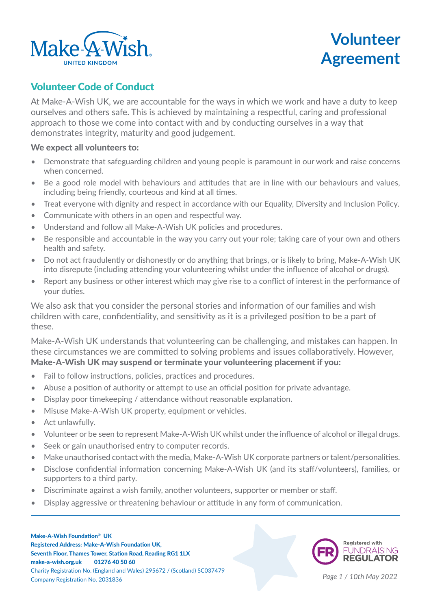

# **Volunteer Agreement**

## Volunteer Code of Conduct

At Make-A-Wish UK, we are accountable for the ways in which we work and have a duty to keep ourselves and others safe. This is achieved by maintaining a respectful, caring and professional approach to those we come into contact with and by conducting ourselves in a way that demonstrates integrity, maturity and good judgement.   

### We expect all volunteers to:

- Demonstrate that safeguarding children and young people is paramount in our work and raise concerns when concerned.
- Be a good role model with behaviours and attitudes that are in line with our behaviours and values, including being friendly, courteous and kind at all times.
- Treat everyone with dignity and respect in accordance with our Equality, Diversity and Inclusion Policy.
- Communicate with others in an open and respectful way.
- Understand and follow all Make-A-Wish UK policies and procedures.
- Be responsible and accountable in the way you carry out your role; taking care of your own and others health and safety.
- Do not act fraudulently or dishonestly or do anything that brings, or is likely to bring, Make-A-Wish UK into disrepute (including attending your volunteering whilst under the influence of alcohol or drugs).
- Report any business or other interest which may give rise to a conflict of interest in the performance of your duties.

We also ask that you consider the personal stories and information of our families and wish children with care, confidentiality, and sensitivity as it is a privileged position to be a part of these.

Make-A-Wish UK understands that volunteering can be challenging, and mistakes can happen. In these circumstances we are committed to solving problems and issues collaboratively. However, Make-A-Wish UK may suspend or terminate your volunteering placement if you:

- Fail to follow instructions, policies, practices and procedures.
- Abuse a position of authority or attempt to use an official position for private advantage.
- Display poor timekeeping / attendance without reasonable explanation.
- Misuse Make-A-Wish UK property, equipment or vehicles.
- Act unlawfully.
- Volunteer or be seen to represent Make-A-Wish UK whilst under the influence of alcohol or illegal drugs.
- Seek or gain unauthorised entry to computer records.
- Make unauthorised contact with the media, Make-A-Wish UK corporate partners or talent/personalities.
- Disclose confidential information concerning Make-A-Wish UK (and its staff/volunteers), families, or supporters to a third party.
- Discriminate against a wish family, another volunteers, supporter or member or staff.
- Display aggressive or threatening behaviour or attitude in any form of communication.



*Page 1 / 10th May 2022*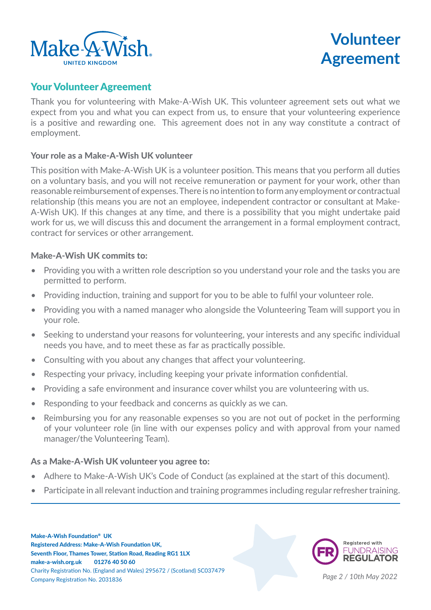

# **Volunteer Agreement**

## Your Volunteer Agreement

Thank you for volunteering with Make-A-Wish UK. This volunteer agreement sets out what we expect from you and what you can expect from us, to ensure that your volunteering experience is a positive and rewarding one. This agreement does not in any way constitute a contract of employment.

## Your role as a Make-A-Wish UK volunteer

This position with Make-A-Wish UK is a volunteer position. This means that you perform all duties on a voluntary basis, and you will not receive remuneration or payment for your work, other than reasonable reimbursement of expenses. There is no intention to form any employment or contractual relationship (this means you are not an employee, independent contractor or consultant at Make-A-Wish UK). If this changes at any time, and there is a possibility that you might undertake paid work for us, we will discuss this and document the arrangement in a formal employment contract, contract for services or other arrangement.

### Make-A-Wish UK commits to:

- Providing you with a written role description so you understand your role and the tasks you are permitted to perform.
- Providing induction, training and support for you to be able to fulfil your volunteer role.
- Providing you with a named manager who alongside the Volunteering Team will support you in your role.
- Seeking to understand your reasons for volunteering, your interests and any specific individual needs you have, and to meet these as far as practically possible.
- Consulting with you about any changes that affect your volunteering.
- Respecting your privacy, including keeping your private information confidential.
- Providing a safe environment and insurance cover whilst you are volunteering with us.
- Responding to your feedback and concerns as quickly as we can.
- Reimbursing you for any reasonable expenses so you are not out of pocket in the performing of your volunteer role (in line with our expenses policy and with approval from your named manager/the Volunteering Team).

### As a Make-A-Wish UK volunteer you agree to:

- Adhere to Make-A-Wish UK's Code of Conduct (as explained at the start of this document).
- Participate in all relevant induction and training programmes including regular refresher training.



*Page 2 / 10th May 2022*